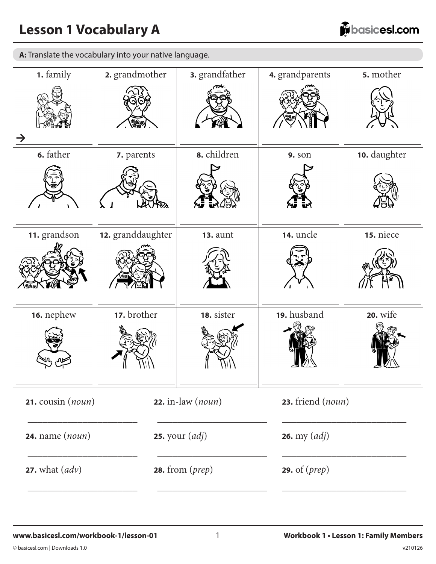# **Lesson 1 Vocabulary A**

**A:** Translate the vocabulary into your native language.

| 1. family                                 | 2. grandmother    | 3. grandfather                            | 4. grandparents             | 5. mother       |  |  |
|-------------------------------------------|-------------------|-------------------------------------------|-----------------------------|-----------------|--|--|
|                                           | <b>\$\$\$</b> \   |                                           |                             |                 |  |  |
| 6. father                                 | 7. parents        | 8. children                               | <b>9.</b> son               | 10. daughter    |  |  |
|                                           |                   |                                           |                             |                 |  |  |
| 11. grandson                              | 12. granddaughter | <b>13. aunt</b>                           | 14. uncle                   | 15. niece       |  |  |
|                                           |                   |                                           |                             |                 |  |  |
| 16. nephew                                | 17. brother       | 18. sister                                | 19. husband                 | <b>20.</b> wife |  |  |
|                                           |                   |                                           |                             |                 |  |  |
| 21. cousin (noun)                         |                   | $22.$ in-law (noun)                       | 23. friend (noun)           |                 |  |  |
| $24.$ name $(noun)$                       |                   | <b>25.</b> your $\left(\text{adj}\right)$ | 26. my $\left( adj \right)$ |                 |  |  |
| <b>27.</b> what $\left(\text{adv}\right)$ |                   | 28. from $(prep)$                         | 29. of $(prep)$             |                 |  |  |
|                                           |                   |                                           |                             |                 |  |  |

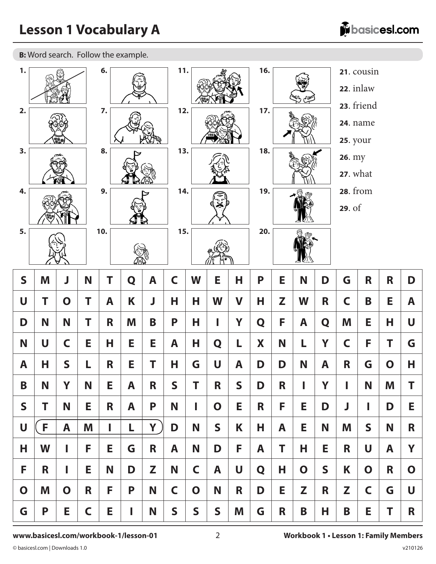**B:** Word search. Follow the example.

| $\mathbf{1}$ . |    |              |             | 6.  |   |   | 11.          |              |              |              | 16.                       |    |                                  |              |                 | 21. cousin<br>22. inlaw       |             |                |
|----------------|----|--------------|-------------|-----|---|---|--------------|--------------|--------------|--------------|---------------------------|----|----------------------------------|--------------|-----------------|-------------------------------|-------------|----------------|
| 2.             |    | <b>1888</b>  |             | 7.  |   |   | 12.          |              |              |              | 17.                       |    |                                  |              | <b>25. your</b> | 23. friend<br><b>24.</b> name |             |                |
| 3.             |    |              |             | 8.  |   |   |              | 13.          |              | 18.          |                           |    | <b>26.</b> my<br><b>27.</b> what |              |                 |                               |             |                |
| 4.             |    |              |             | 9.  |   |   |              | 19.<br>14.   |              |              | <b>28.</b> from<br>29. of |    |                                  |              |                 |                               |             |                |
| 5.             |    |              |             | 10. |   |   |              | 15.          |              | 20.          |                           |    |                                  |              |                 |                               |             |                |
| $\mathsf{S}$   | M  | J            | N           | T   | Q | A | $\mathsf C$  | W            | Е            | Н            | P                         | Е  | N                                | D            | G               | R                             | R           | D              |
| $\mathsf{U}$   | Т  | $\mathbf O$  | Т           | A   | K | J | Н            | H            | W            | $\mathbf V$  | Н                         | Z  | W                                | R            | $\mathsf C$     | B                             | Е           | A              |
| D              | N  | N            | Т           | R   | M | B | P            | Н            | ı            | Y            | Q                         | F  | A                                | Q            | M               | Е                             | Н           | $\overline{U}$ |
| N              | U  | $\mathsf C$  | E           | Н   | Е | E | A            | Н            | Q            | L            | X                         | N  | L                                | Y            | $\mathsf C$     | F                             | T           | G              |
| A              | Н  | $\mathsf{S}$ | L           | R   | Е | Τ | Н            | G            | U            | A            | D                         | D  | N                                | A            | R               | G                             | $\mathbf O$ | Н              |
| B              | N  | Y            | N           | Þ,  | A | K | S            | L            | K            | $\mathbf{S}$ | D                         | R  | I                                | Y            | I               | N                             | M           | L              |
| $\mathsf{S}$   | T  | N            | E           | R   | A | P | N            | I            | $\mathbf O$  | E.           | R                         | F. | E.                               | D            | J               | I                             | D           | Е              |
| U              | F. | A            | M           | L   | L | Y | D            | N            | $\mathsf{S}$ | K            | Н                         | A  | E.                               | N            | M               | $\mathsf{S}$                  | N           | R              |
| Н              | W  | ı            | F           | E   | G | R | A            | N            | D            | F.           | A                         | T  | Н                                | Е            | R               | U                             | A           | Y              |
| F              | R  | L            | E           | N   | D | Z | N            | C            | A            | U            | Q                         | Н  | $\mathbf O$                      | $\mathsf{S}$ | K               | $\mathbf O$                   | R           | $\mathbf O$    |
| $\mathbf 0$    | M  | $\mathbf O$  | R           | F.  | P | N | $\mathsf C$  | $\mathbf O$  | N            | R            | D                         | E  | Z                                | R            | Z               | C                             | G           | U              |
| G              | P  | E            | $\mathsf C$ | E   | L | N | $\mathsf{S}$ | $\mathsf{S}$ | $\mathsf{S}$ | Μ            | G                         | R  | B                                | Н            | B               | E                             | T           | R              |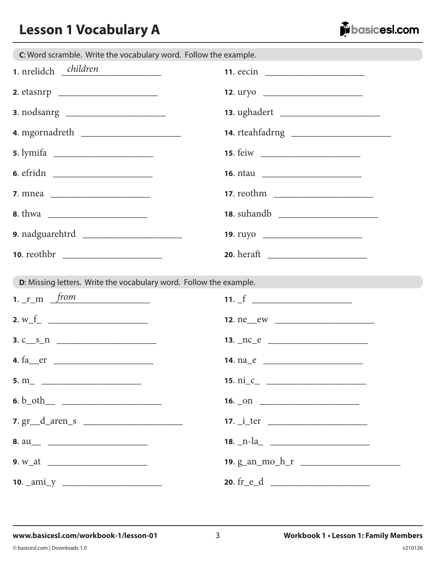# **Lesson 1 Vocabulary A**



| C: Word scramble. Write the vocabulary word. Follow the example.   |                 |
|--------------------------------------------------------------------|-----------------|
| 1. nrelidch children                                               |                 |
|                                                                    | 12. uryo        |
|                                                                    |                 |
|                                                                    |                 |
|                                                                    |                 |
|                                                                    |                 |
|                                                                    |                 |
|                                                                    |                 |
|                                                                    | 19. ruyo        |
|                                                                    |                 |
| D: Missing letters. Write the vocabulary word. Follow the example. |                 |
| 1. $r_m$ from                                                      | 11. $f$         |
|                                                                    |                 |
| $3. c_s n$                                                         |                 |
| 4. $fa$ er                                                         |                 |
|                                                                    |                 |
|                                                                    | $16.$ $\Box$ 00 |
| $7. gr\_d\_aren_s$                                                 |                 |
|                                                                    |                 |
|                                                                    |                 |
|                                                                    |                 |

v210126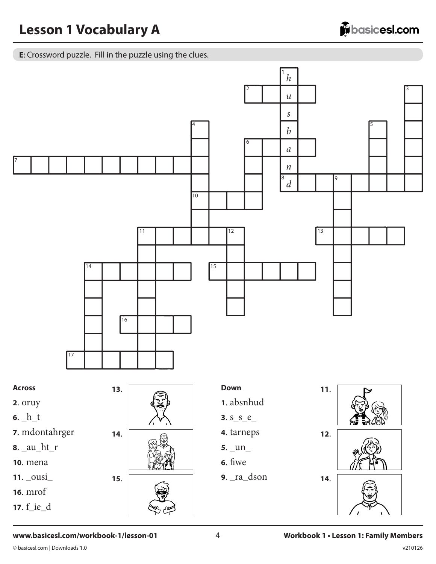E: Crossword puzzle. Fill in the puzzle using the clues.



#### www.basicesl.com/workbook-1/lesson-01